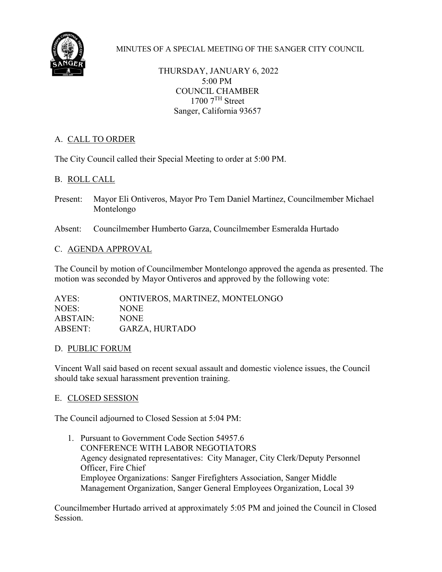

MINUTES OF A SPECIAL MEETING OF THE SANGER CITY COUNCIL

THURSDAY, JANUARY 6, 2022 5:00 PM COUNCIL CHAMBER  $1700$   $7<sup>TH</sup>$  Street Sanger, California 93657

# A. CALL TO ORDER

The City Council called their Special Meeting to order at 5:00 PM.

## B. ROLL CALL

Present: Mayor Eli Ontiveros, Mayor Pro Tem Daniel Martinez, Councilmember Michael Montelongo

Absent: Councilmember Humberto Garza, Councilmember Esmeralda Hurtado

### C. AGENDA APPROVAL

The Council by motion of Councilmember Montelongo approved the agenda as presented. The motion was seconded by Mayor Ontiveros and approved by the following vote:

AYES: ONTIVEROS, MARTINEZ, MONTELONGO NOES: NONE ABSTAIN: NONE ABSENT: GARZA, HURTADO

### D. PUBLIC FORUM

Vincent Wall said based on recent sexual assault and domestic violence issues, the Council should take sexual harassment prevention training.

### E. CLOSED SESSION

The Council adjourned to Closed Session at 5:04 PM:

1. Pursuant to Government Code Section 54957.6 CONFERENCE WITH LABOR NEGOTIATORS Agency designated representatives: City Manager, City Clerk/Deputy Personnel Officer, Fire Chief Employee Organizations: Sanger Firefighters Association, Sanger Middle Management Organization, Sanger General Employees Organization, Local 39

Councilmember Hurtado arrived at approximately 5:05 PM and joined the Council in Closed Session.